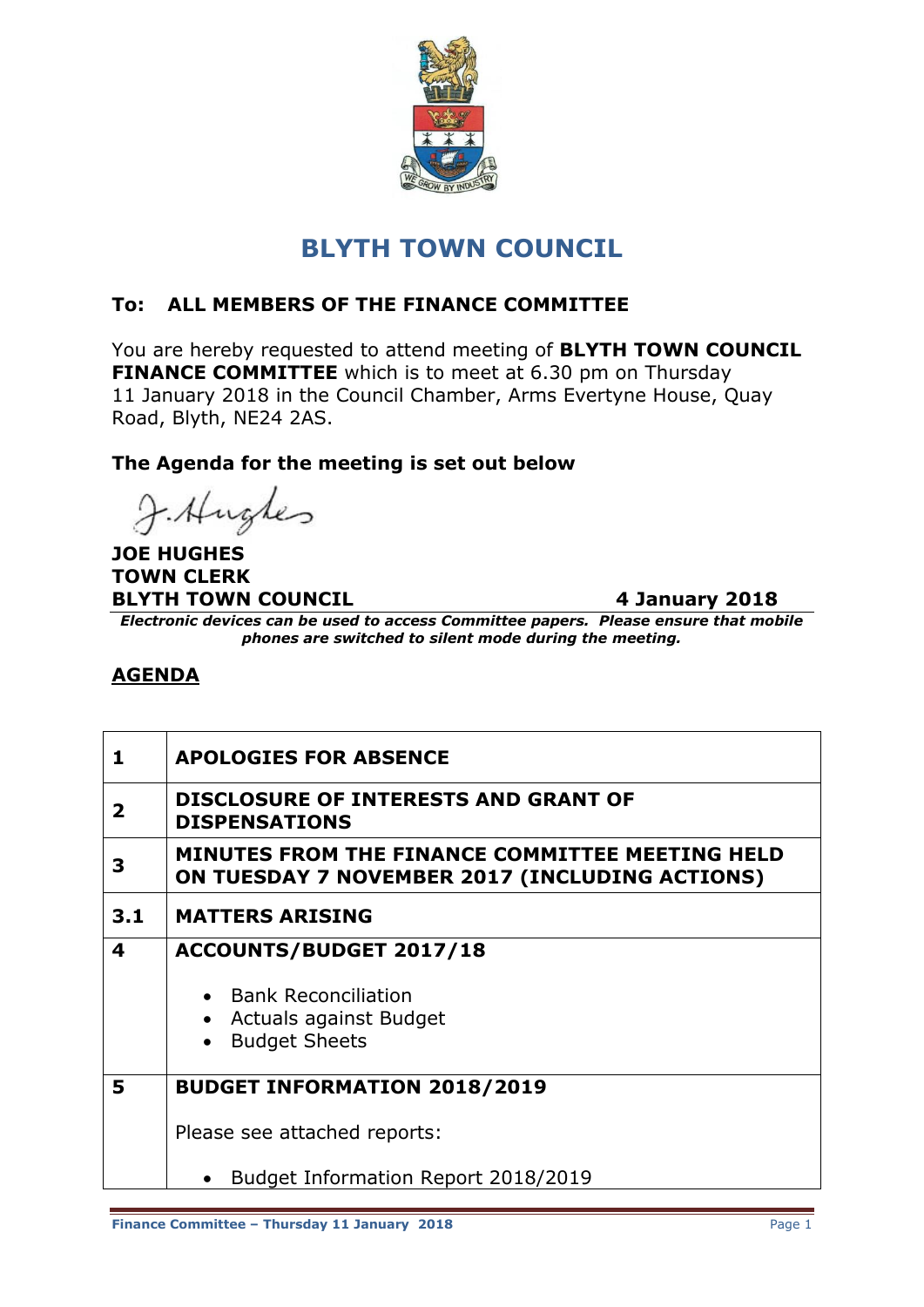

# **BLYTH TOWN COUNCIL**

## **To: ALL MEMBERS OF THE FINANCE COMMITTEE**

You are hereby requested to attend meeting of **BLYTH TOWN COUNCIL FINANCE COMMITTEE** which is to meet at 6.30 pm on Thursday 11 January 2018 in the Council Chamber, Arms Evertyne House, Quay Road, Blyth, NE24 2AS.

#### **The Agenda for the meeting is set out below**

J. Hughes

**JOE HUGHES TOWN CLERK BLYTH TOWN COUNCIL** 4 January 2018

*Electronic devices can be used to access Committee papers. Please ensure that mobile phones are switched to silent mode during the meeting.*

## **AGENDA**

| 1   | <b>APOLOGIES FOR ABSENCE</b>                                                                      |
|-----|---------------------------------------------------------------------------------------------------|
| 2   | DISCLOSURE OF INTERESTS AND GRANT OF<br><b>DISPENSATIONS</b>                                      |
| 3   | MINUTES FROM THE FINANCE COMMITTEE MEETING HELD<br>ON TUESDAY 7 NOVEMBER 2017 (INCLUDING ACTIONS) |
| 3.1 | <b>MATTERS ARISING</b>                                                                            |
| 4   | ACCOUNTS/BUDGET 2017/18                                                                           |
|     | • Bank Reconciliation                                                                             |
|     | Actuals against Budget                                                                            |
|     | <b>Budget Sheets</b>                                                                              |
| 5   | <b>BUDGET INFORMATION 2018/2019</b>                                                               |
|     | Please see attached reports:                                                                      |
|     | Budget Information Report 2018/2019                                                               |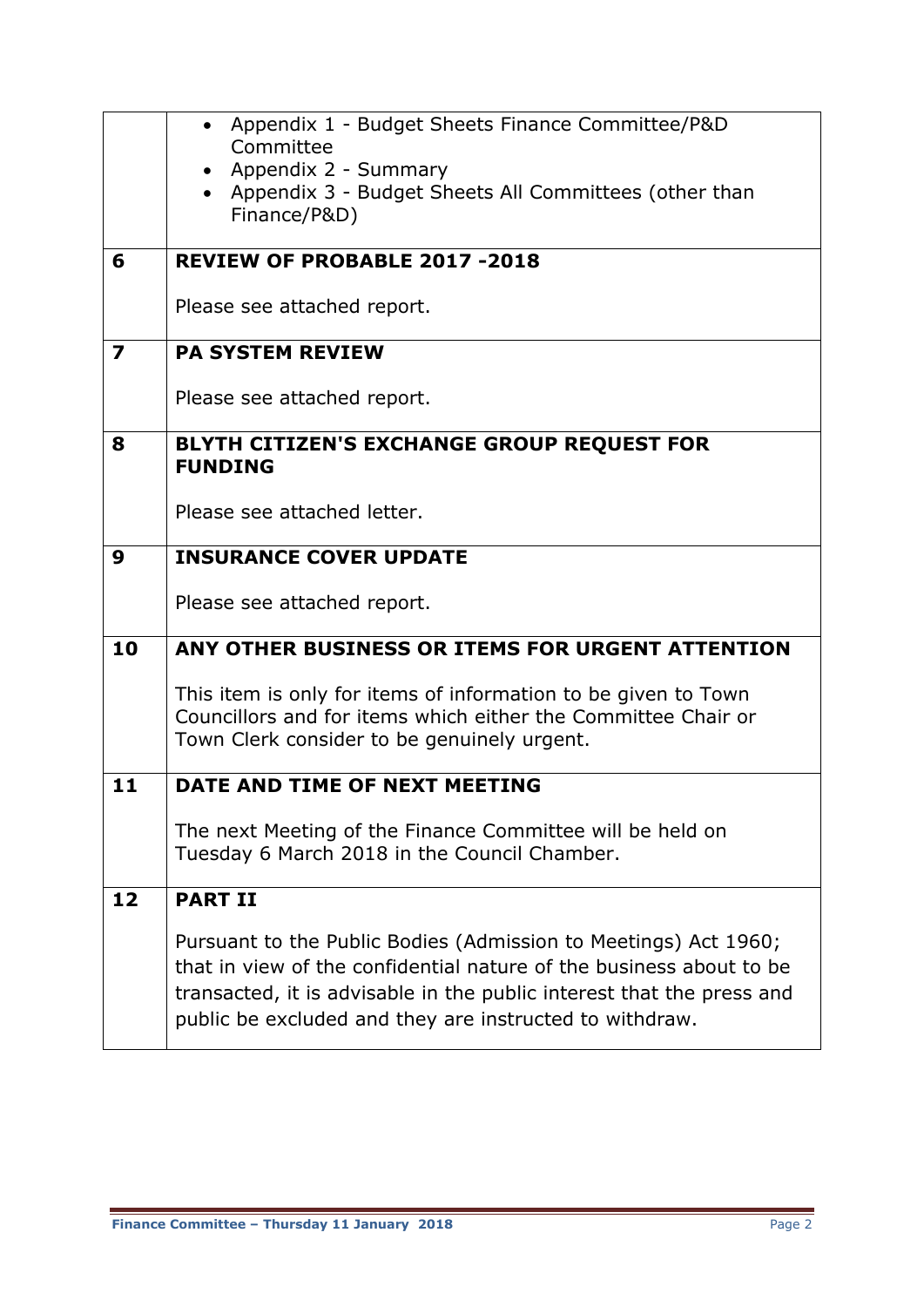|                         | • Appendix 1 - Budget Sheets Finance Committee/P&D<br>Committee<br>• Appendix 2 - Summary<br>• Appendix 3 - Budget Sheets All Committees (other than<br>Finance/P&D)                                                                                                       |
|-------------------------|----------------------------------------------------------------------------------------------------------------------------------------------------------------------------------------------------------------------------------------------------------------------------|
| 6                       | <b>REVIEW OF PROBABLE 2017-2018</b>                                                                                                                                                                                                                                        |
|                         | Please see attached report.                                                                                                                                                                                                                                                |
| $\overline{\mathbf{z}}$ | <b>PA SYSTEM REVIEW</b>                                                                                                                                                                                                                                                    |
|                         | Please see attached report.                                                                                                                                                                                                                                                |
| 8                       | <b>BLYTH CITIZEN'S EXCHANGE GROUP REQUEST FOR</b><br><b>FUNDING</b>                                                                                                                                                                                                        |
|                         | Please see attached letter.                                                                                                                                                                                                                                                |
| 9                       | <b>INSURANCE COVER UPDATE</b>                                                                                                                                                                                                                                              |
|                         | Please see attached report.                                                                                                                                                                                                                                                |
| 10                      | ANY OTHER BUSINESS OR ITEMS FOR URGENT ATTENTION                                                                                                                                                                                                                           |
|                         | This item is only for items of information to be given to Town<br>Councillors and for items which either the Committee Chair or<br>Town Clerk consider to be genuinely urgent.                                                                                             |
| 11                      | DATE AND TIME OF NEXT MEETING                                                                                                                                                                                                                                              |
|                         | The next Meeting of the Finance Committee will be held on<br>Tuesday 6 March 2018 in the Council Chamber.                                                                                                                                                                  |
| 12                      | <b>PART II</b>                                                                                                                                                                                                                                                             |
|                         | Pursuant to the Public Bodies (Admission to Meetings) Act 1960;<br>that in view of the confidential nature of the business about to be<br>transacted, it is advisable in the public interest that the press and<br>public be excluded and they are instructed to withdraw. |